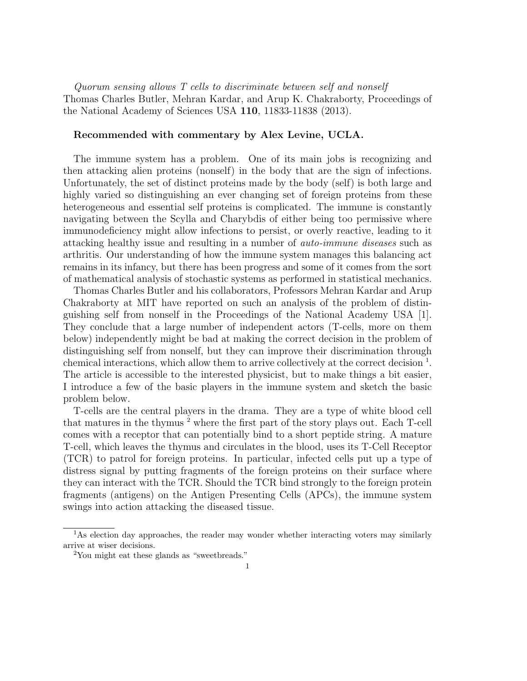Quorum sensing allows T cells to discriminate between self and nonself Thomas Charles Butler, Mehran Kardar, and Arup K. Chakraborty, Proceedings of the National Academy of Sciences USA 110, 11833-11838 (2013).

## Recommended with commentary by Alex Levine, UCLA.

The immune system has a problem. One of its main jobs is recognizing and then attacking alien proteins (nonself) in the body that are the sign of infections. Unfortunately, the set of distinct proteins made by the body (self) is both large and highly varied so distinguishing an ever changing set of foreign proteins from these heterogeneous and essential self proteins is complicated. The immune is constantly navigating between the Scylla and Charybdis of either being too permissive where immunodeficiency might allow infections to persist, or overly reactive, leading to it attacking healthy issue and resulting in a number of auto-immune diseases such as arthritis. Our understanding of how the immune system manages this balancing act remains in its infancy, but there has been progress and some of it comes from the sort of mathematical analysis of stochastic systems as performed in statistical mechanics.

Thomas Charles Butler and his collaborators, Professors Mehran Kardar and Arup Chakraborty at MIT have reported on such an analysis of the problem of distinguishing self from nonself in the Proceedings of the National Academy USA [1]. They conclude that a large number of independent actors (T-cells, more on them below) independently might be bad at making the correct decision in the problem of distinguishing self from nonself, but they can improve their discrimination through chemical interactions, which allow them to arrive collectively at the correct decision<sup>1</sup>. The article is accessible to the interested physicist, but to make things a bit easier, I introduce a few of the basic players in the immune system and sketch the basic problem below.

T-cells are the central players in the drama. They are a type of white blood cell that matures in the thymus  $2$  where the first part of the story plays out. Each T-cell comes with a receptor that can potentially bind to a short peptide string. A mature T-cell, which leaves the thymus and circulates in the blood, uses its T-Cell Receptor (TCR) to patrol for foreign proteins. In particular, infected cells put up a type of distress signal by putting fragments of the foreign proteins on their surface where they can interact with the TCR. Should the TCR bind strongly to the foreign protein fragments (antigens) on the Antigen Presenting Cells (APCs), the immune system swings into action attacking the diseased tissue.

<sup>&</sup>lt;sup>1</sup>As election day approaches, the reader may wonder whether interacting voters may similarly arrive at wiser decisions.

<sup>2</sup>You might eat these glands as "sweetbreads."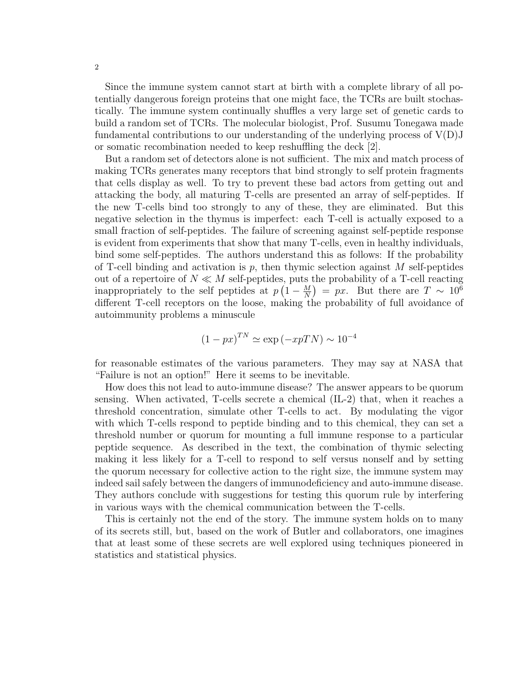Since the immune system cannot start at birth with a complete library of all potentially dangerous foreign proteins that one might face, the TCRs are built stochastically. The immune system continually shuffles a very large set of genetic cards to build a random set of TCRs. The molecular biologist, Prof. Susumu Tonegawa made fundamental contributions to our understanding of the underlying process of  $V(D)J$ or somatic recombination needed to keep reshuffling the deck [2].

But a random set of detectors alone is not sufficient. The mix and match process of making TCRs generates many receptors that bind strongly to self protein fragments that cells display as well. To try to prevent these bad actors from getting out and attacking the body, all maturing T-cells are presented an array of self-peptides. If the new T-cells bind too strongly to any of these, they are eliminated. But this negative selection in the thymus is imperfect: each T-cell is actually exposed to a small fraction of self-peptides. The failure of screening against self-peptide response is evident from experiments that show that many T-cells, even in healthy individuals, bind some self-peptides. The authors understand this as follows: If the probability of T-cell binding and activation is  $p$ , then thymic selection against M self-peptides out of a repertoire of  $N \ll M$  self-peptides, puts the probability of a T-cell reacting inappropriately to the self peptides at  $p(1-\frac{M}{N})$  $\frac{M}{N}$ ) = px. But there are  $T \sim 10^6$ different T-cell receptors on the loose, making the probability of full avoidance of autoimmunity problems a minuscule

$$
(1 - px)^{TN} \simeq \exp(-xpTN) \sim 10^{-4}
$$

for reasonable estimates of the various parameters. They may say at NASA that "Failure is not an option!" Here it seems to be inevitable.

How does this not lead to auto-immune disease? The answer appears to be quorum sensing. When activated, T-cells secrete a chemical (IL-2) that, when it reaches a threshold concentration, simulate other T-cells to act. By modulating the vigor with which T-cells respond to peptide binding and to this chemical, they can set a threshold number or quorum for mounting a full immune response to a particular peptide sequence. As described in the text, the combination of thymic selecting making it less likely for a T-cell to respond to self versus nonself and by setting the quorum necessary for collective action to the right size, the immune system may indeed sail safely between the dangers of immunodeficiency and auto-immune disease. They authors conclude with suggestions for testing this quorum rule by interfering in various ways with the chemical communication between the T-cells.

This is certainly not the end of the story. The immune system holds on to many of its secrets still, but, based on the work of Butler and collaborators, one imagines that at least some of these secrets are well explored using techniques pioneered in statistics and statistical physics.